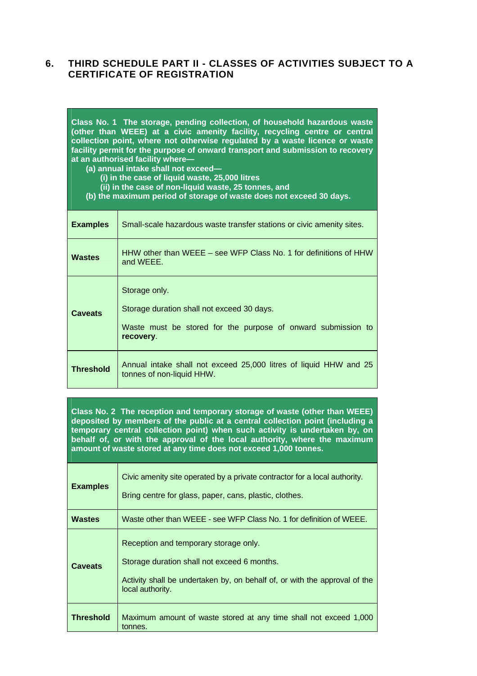## **6. THIRD SCHEDULE PART II - CLASSES OF ACTIVITIES SUBJECT TO A CERTIFICATE OF REGISTRATION**

| Class No. 1 The storage, pending collection, of household hazardous waste<br>(other than WEEE) at a civic amenity facility, recycling centre or central<br>collection point, where not otherwise regulated by a waste licence or waste<br>facility permit for the purpose of onward transport and submission to recovery<br>at an authorised facility where-<br>(a) annual intake shall not exceed-<br>(i) in the case of liquid waste, 25,000 litres<br>(ii) in the case of non-liquid waste, 25 tonnes, and<br>(b) the maximum period of storage of waste does not exceed 30 days. |                                                                                                                                          |
|--------------------------------------------------------------------------------------------------------------------------------------------------------------------------------------------------------------------------------------------------------------------------------------------------------------------------------------------------------------------------------------------------------------------------------------------------------------------------------------------------------------------------------------------------------------------------------------|------------------------------------------------------------------------------------------------------------------------------------------|
| <b>Examples</b>                                                                                                                                                                                                                                                                                                                                                                                                                                                                                                                                                                      | Small-scale hazardous waste transfer stations or civic amenity sites.                                                                    |
| <b>Wastes</b>                                                                                                                                                                                                                                                                                                                                                                                                                                                                                                                                                                        | HHW other than WEEE – see WFP Class No. 1 for definitions of HHW<br>and WEEE.                                                            |
| <b>Caveats</b>                                                                                                                                                                                                                                                                                                                                                                                                                                                                                                                                                                       | Storage only.<br>Storage duration shall not exceed 30 days.<br>Waste must be stored for the purpose of onward submission to<br>recovery. |
| <b>Threshold</b>                                                                                                                                                                                                                                                                                                                                                                                                                                                                                                                                                                     | Annual intake shall not exceed 25,000 litres of liquid HHW and 25<br>tonnes of non-liquid HHW.                                           |

**Class No. 2 The reception and temporary storage of waste (other than WEEE) deposited by members of the public at a central collection point (including a temporary central collection point) when such activity is undertaken by, on behalf of, or with the approval of the local authority, where the maximum amount of waste stored at any time does not exceed 1,000 tonnes.** 

| <b>Examples</b>  | Civic amenity site operated by a private contractor for a local authority.<br>Bring centre for glass, paper, cans, plastic, clothes.                                                   |
|------------------|----------------------------------------------------------------------------------------------------------------------------------------------------------------------------------------|
| <b>Wastes</b>    | Waste other than WEEE - see WFP Class No. 1 for definition of WEEE.                                                                                                                    |
| Caveats          | Reception and temporary storage only.<br>Storage duration shall not exceed 6 months.<br>Activity shall be undertaken by, on behalf of, or with the approval of the<br>local authority. |
| <b>Threshold</b> | Maximum amount of waste stored at any time shall not exceed 1,000<br>tonnes.                                                                                                           |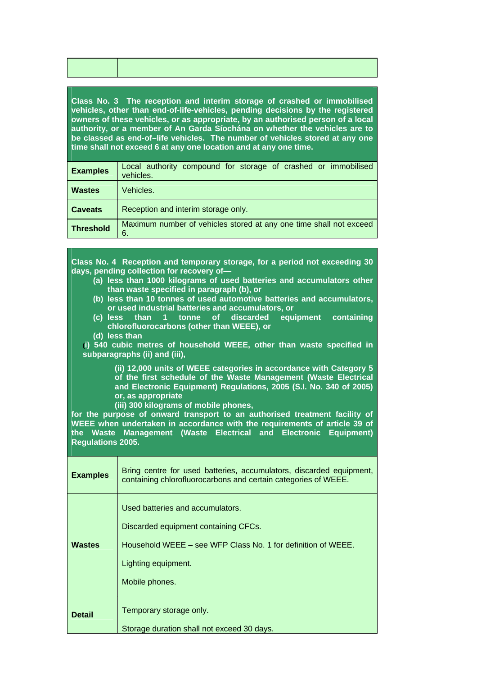| Class No. 3 The reception and interim storage of crashed or immobilised         |  |  |
|---------------------------------------------------------------------------------|--|--|
| vehicles, other than end-of-life-vehicles, pending decisions by the registered  |  |  |
| owners of these vehicles, or as appropriate, by an authorised person of a local |  |  |
| authority, or a member of An Garda Síochána on whether the vehicles are to      |  |  |
| be classed as end-of-life vehicles. The number of vehicles stored at any one    |  |  |
| time shall not exceed 6 at any one location and at any one time.                |  |  |

| <b>Examples</b>  | Local authority compound for storage of crashed or immobilised<br>vehicles. |
|------------------|-----------------------------------------------------------------------------|
| <b>Wastes</b>    | Vehicles.                                                                   |
| <b>Caveats</b>   | Reception and interim storage only.                                         |
| <b>Threshold</b> | Maximum number of vehicles stored at any one time shall not exceed<br>6.    |

**Class No. 4 Reception and temporary storage, for a period not exceeding 30 days, pending collection for recovery of—** 

- **(a) less than 1000 kilograms of used batteries and accumulators other than waste specified in paragraph (b), or**
- **(b) less than 10 tonnes of used automotive batteries and accumulators, or used industrial batteries and accumulators, or**
- **(c) less than 1 tonne of discarded equipment containing chlorofluorocarbons (other than WEEE), or**
- **(d) less than**

**(i) 540 cubic metres of household WEEE, other than waste specified in subparagraphs (ii) and (iii),** 

> **(ii) 12,000 units of WEEE categories in accordance with Category 5 of the first schedule of the Waste Management (Waste Electrical and Electronic Equipment) Regulations, 2005 (S.I. No. 340 of 2005) or, as appropriate**

**(iii) 300 kilograms of mobile phones,** 

**for the purpose of onward transport to an authorised treatment facility of WEEE when undertaken in accordance with the requirements of article 39 of the Waste Management (Waste Electrical and Electronic Equipment) Regulations 2005.**

| <b>Examples</b> | Bring centre for used batteries, accumulators, discarded equipment,<br>containing chlorofluorocarbons and certain categories of WEEE.                                             |
|-----------------|-----------------------------------------------------------------------------------------------------------------------------------------------------------------------------------|
| <b>Wastes</b>   | Used batteries and accumulators.<br>Discarded equipment containing CFCs.<br>Household WEEE – see WFP Class No. 1 for definition of WEEE.<br>Lighting equipment.<br>Mobile phones. |
| <b>Detail</b>   | Temporary storage only.<br>Storage duration shall not exceed 30 days.                                                                                                             |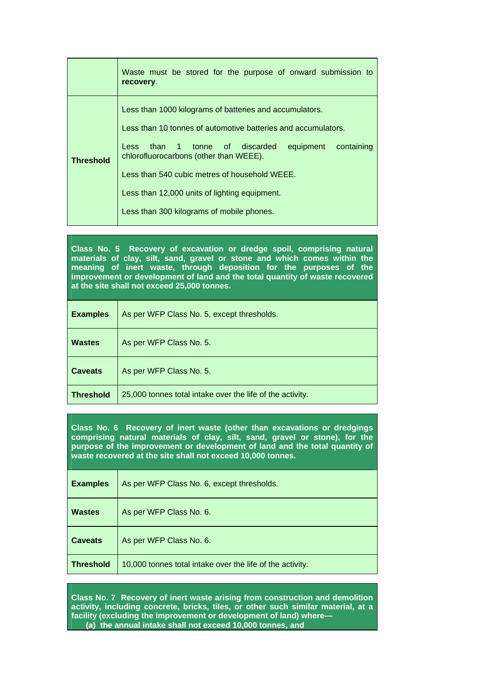|                  | Waste must be stored for the purpose of onward submission to<br>recovery.                                                                                                                                                                                                                                                                                                         |
|------------------|-----------------------------------------------------------------------------------------------------------------------------------------------------------------------------------------------------------------------------------------------------------------------------------------------------------------------------------------------------------------------------------|
| <b>Threshold</b> | Less than 1000 kilograms of batteries and accumulators.<br>Less than 10 tonnes of automotive batteries and accumulators.<br>containing<br>than 1 tonne of discarded<br>equipment<br>Less<br>chlorofluorocarbons (other than WEEE).<br>Less than 540 cubic metres of household WEEE.<br>Less than 12,000 units of lighting equipment.<br>Less than 300 kilograms of mobile phones. |

**Class No. 5 Recovery of excavation or dredge spoil, comprising natural materials of clay, silt, sand, gravel or stone and which comes within the meaning of inert waste, through deposition for the purposes of the improvement or development of land and the total quantity of waste recovered at the site shall not exceed 25,000 tonnes.** 

| <b>Examples</b>  | As per WFP Class No. 5, except thresholds.                |
|------------------|-----------------------------------------------------------|
| <b>Wastes</b>    | As per WFP Class No. 5.                                   |
| <b>Caveats</b>   | As per WFP Class No. 5.                                   |
| <b>Threshold</b> | 25,000 tonnes total intake over the life of the activity. |

**Class No. 6 Recovery of inert waste (other than excavations or dredgings comprising natural materials of clay, silt, sand, gravel or stone), for the purpose of the improvement or development of land and the total quantity of waste recovered at the site shall not exceed 10,000 tonnes.** 

| <b>Examples</b>  | As per WFP Class No. 6, except thresholds.                |
|------------------|-----------------------------------------------------------|
| <b>Wastes</b>    | As per WFP Class No. 6.                                   |
| <b>Caveats</b>   | As per WFP Class No. 6.                                   |
| <b>Threshold</b> | 10,000 tonnes total intake over the life of the activity. |

**Class No. 7 Recovery of inert waste arising from construction and demolition activity, including concrete, bricks, tiles, or other such similar material, at a facility (excluding the improvement or development of land) where— (a) the annual intake shall not exceed 10,000 tonnes, and**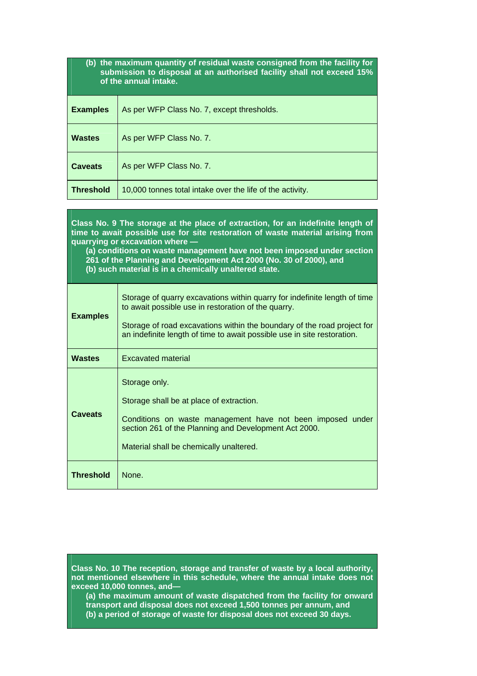| (b) the maximum quantity of residual waste consigned from the facility for |  |
|----------------------------------------------------------------------------|--|
| submission to disposal at an authorised facility shall not exceed 15%      |  |
| of the annual intake.                                                      |  |

| <b>Examples</b>  | As per WFP Class No. 7, except thresholds.                |
|------------------|-----------------------------------------------------------|
| <b>Wastes</b>    | As per WFP Class No. 7.                                   |
| <b>Caveats</b>   | As per WFP Class No. 7.                                   |
| <b>Threshold</b> | 10,000 tonnes total intake over the life of the activity. |

| Class No. 9 The storage at the place of extraction, for an indefinite length of<br>time to await possible use for site restoration of waste material arising from<br>quarrying or excavation where -<br>(a) conditions on waste management have not been imposed under section<br>261 of the Planning and Development Act 2000 (No. 30 of 2000), and<br>(b) such material is in a chemically unaltered state. |                                                                                                                                                                                                                                                                                        |
|---------------------------------------------------------------------------------------------------------------------------------------------------------------------------------------------------------------------------------------------------------------------------------------------------------------------------------------------------------------------------------------------------------------|----------------------------------------------------------------------------------------------------------------------------------------------------------------------------------------------------------------------------------------------------------------------------------------|
| <b>Examples</b>                                                                                                                                                                                                                                                                                                                                                                                               | Storage of quarry excavations within quarry for indefinite length of time<br>to await possible use in restoration of the quarry.<br>Storage of road excavations within the boundary of the road project for<br>an indefinite length of time to await possible use in site restoration. |
| <b>Wastes</b>                                                                                                                                                                                                                                                                                                                                                                                                 | <b>Excavated material</b>                                                                                                                                                                                                                                                              |
| <b>Caveats</b>                                                                                                                                                                                                                                                                                                                                                                                                | Storage only.<br>Storage shall be at place of extraction.<br>Conditions on waste management have not been imposed under<br>section 261 of the Planning and Development Act 2000.<br>Material shall be chemically unaltered.                                                            |
| <b>Threshold</b>                                                                                                                                                                                                                                                                                                                                                                                              | None.                                                                                                                                                                                                                                                                                  |

**Class No. 10 The reception, storage and transfer of waste by a local authority, not mentioned elsewhere in this schedule, where the annual intake does not exceed 10,000 tonnes, and—** 

**(a) the maximum amount of waste dispatched from the facility for onward transport and disposal does not exceed 1,500 tonnes per annum, and (b) a period of storage of waste for disposal does not exceed 30 days.**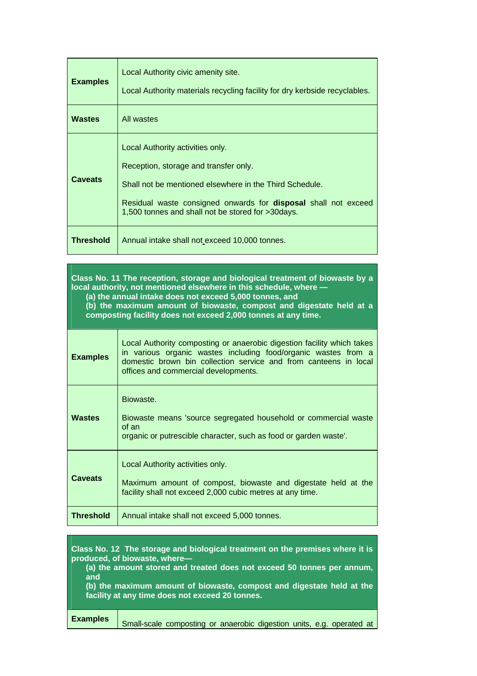| <b>Examples</b>  | Local Authority civic amenity site.<br>Local Authority materials recycling facility for dry kerbside recyclables.                                                                                                                                                  |
|------------------|--------------------------------------------------------------------------------------------------------------------------------------------------------------------------------------------------------------------------------------------------------------------|
| <b>Wastes</b>    | All wastes                                                                                                                                                                                                                                                         |
| <b>Caveats</b>   | Local Authority activities only.<br>Reception, storage and transfer only.<br>Shall not be mentioned elsewhere in the Third Schedule.<br>Residual waste consigned onwards for <b>disposal</b> shall not exceed<br>1,500 tonnes and shall not be stored for >30days. |
| <b>Threshold</b> | Annual intake shall not exceed 10,000 tonnes.                                                                                                                                                                                                                      |

| Class No. 11 The reception, storage and biological treatment of biowaste by a<br>local authority, not mentioned elsewhere in this schedule, where -<br>(a) the annual intake does not exceed 5,000 tonnes, and<br>(b) the maximum amount of biowaste, compost and digestate held at a<br>composting facility does not exceed 2,000 tonnes at any time. |                                                                                                                                                                                                                                                      |  |
|--------------------------------------------------------------------------------------------------------------------------------------------------------------------------------------------------------------------------------------------------------------------------------------------------------------------------------------------------------|------------------------------------------------------------------------------------------------------------------------------------------------------------------------------------------------------------------------------------------------------|--|
| <b>Examples</b>                                                                                                                                                                                                                                                                                                                                        | Local Authority composting or anaerobic digestion facility which takes<br>in various organic wastes including food/organic wastes from a<br>domestic brown bin collection service and from canteens in local<br>offices and commercial developments. |  |
| <b>Wastes</b>                                                                                                                                                                                                                                                                                                                                          | Biowaste.<br>Biowaste means 'source segregated household or commercial waste<br>of an<br>organic or putrescible character, such as food or garden waste'.                                                                                            |  |
| Caveats                                                                                                                                                                                                                                                                                                                                                | Local Authority activities only.<br>Maximum amount of compost, biowaste and digestate held at the<br>facility shall not exceed 2,000 cubic metres at any time.                                                                                       |  |
| <b>Threshold</b>                                                                                                                                                                                                                                                                                                                                       | Annual intake shall not exceed 5,000 tonnes.                                                                                                                                                                                                         |  |

| Class No. 12 The storage and biological treatment on the premises where it is<br>produced, of biowaste, where-<br>(a) the amount stored and treated does not exceed 50 tonnes per annum,<br>and<br>(b) the maximum amount of biowaste, compost and digestate held at the<br>facility at any time does not exceed 20 tonnes. |                                                                       |
|-----------------------------------------------------------------------------------------------------------------------------------------------------------------------------------------------------------------------------------------------------------------------------------------------------------------------------|-----------------------------------------------------------------------|
| <b>Examples</b>                                                                                                                                                                                                                                                                                                             | Small-scale composting or anaerobic digestion units, e.g. operated at |

a sa mga bangay na mga bangay na mga bangay na mga bangay na mga bangay na mga bangay na mga bangay na mga ban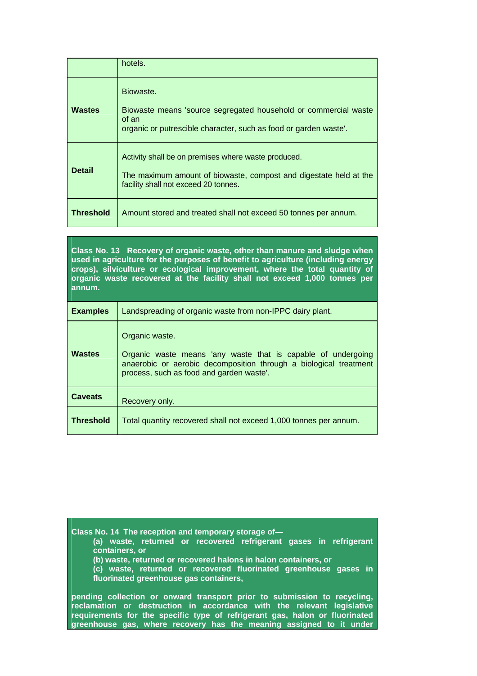|               | hotels.                                                                                                                                                          |
|---------------|------------------------------------------------------------------------------------------------------------------------------------------------------------------|
| <b>Wastes</b> | Biowaste.<br>Biowaste means 'source segregated household or commercial waste<br>of an<br>organic or putrescible character, such as food or garden waste'.        |
| <b>Detail</b> | Activity shall be on premises where waste produced.<br>The maximum amount of biowaste, compost and digestate held at the<br>facility shall not exceed 20 tonnes. |
| Threshold     | Amount stored and treated shall not exceed 50 tonnes per annum.                                                                                                  |

**Class No. 13 Recovery of organic waste, other than manure and sludge when used in agriculture for the purposes of benefit to agriculture (including energy crops), silviculture or ecological improvement, where the total quantity of organic waste recovered at the facility shall not exceed 1,000 tonnes per annum.** 

| <b>Examples</b>  | Landspreading of organic waste from non-IPPC dairy plant.                                                                                                                                       |
|------------------|-------------------------------------------------------------------------------------------------------------------------------------------------------------------------------------------------|
| <b>Wastes</b>    | Organic waste.<br>Organic waste means 'any waste that is capable of undergoing<br>anaerobic or aerobic decomposition through a biological treatment<br>process, such as food and garden waste'. |
| <b>Caveats</b>   | Recovery only.                                                                                                                                                                                  |
| <b>Threshold</b> | Total quantity recovered shall not exceed 1,000 tonnes per annum.                                                                                                                               |

**Class No. 14 The reception and temporary storage of— (a) waste, returned or recovered refrigerant gases in refrigerant containers, or (b) waste, returned or recovered halons in halon containers, or (c) waste, returned or recovered fluorinated greenhouse gases in fluorinated greenhouse gas containers, pending collection or onward transport prior to submission to recycling,** 

**reclamation or destruction in accordance with the relevant legislative requirements for the specific type of refrigerant gas, halon or fluorinated greenhouse gas, where recovery has the meaning assigned to it under**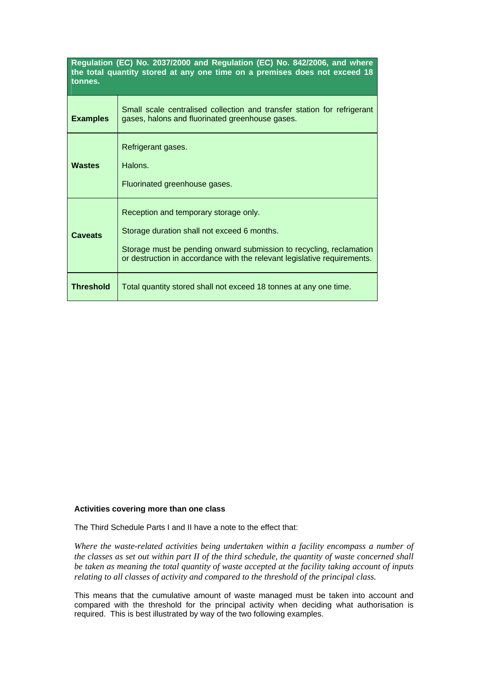| Regulation (EC) No. 2037/2000 and Regulation (EC) No. 842/2006, and where<br>the total quantity stored at any one time on a premises does not exceed 18<br>tonnes. |                                                                                                                                                                                                                                         |  |
|--------------------------------------------------------------------------------------------------------------------------------------------------------------------|-----------------------------------------------------------------------------------------------------------------------------------------------------------------------------------------------------------------------------------------|--|
| <b>Examples</b>                                                                                                                                                    | Small scale centralised collection and transfer station for refrigerant<br>gases, halons and fluorinated greenhouse gases.                                                                                                              |  |
| <b>Wastes</b>                                                                                                                                                      | Refrigerant gases.<br>Halons.<br>Fluorinated greenhouse gases.                                                                                                                                                                          |  |
| <b>Caveats</b>                                                                                                                                                     | Reception and temporary storage only.<br>Storage duration shall not exceed 6 months.<br>Storage must be pending onward submission to recycling, reclamation<br>or destruction in accordance with the relevant legislative requirements. |  |
| <b>Threshold</b>                                                                                                                                                   | Total quantity stored shall not exceed 18 tonnes at any one time.                                                                                                                                                                       |  |

## **Activities covering more than one class**

The Third Schedule Parts I and II have a note to the effect that:

*Where the waste-related activities being undertaken within a facility encompass a number of the classes as set out within part II of the third schedule, the quantity of waste concerned shall be taken as meaning the total quantity of waste accepted at the facility taking account of inputs relating to all classes of activity and compared to the threshold of the principal class.*

This means that the cumulative amount of waste managed must be taken into account and compared with the threshold for the principal activity when deciding what authorisation is required. This is best illustrated by way of the two following examples.